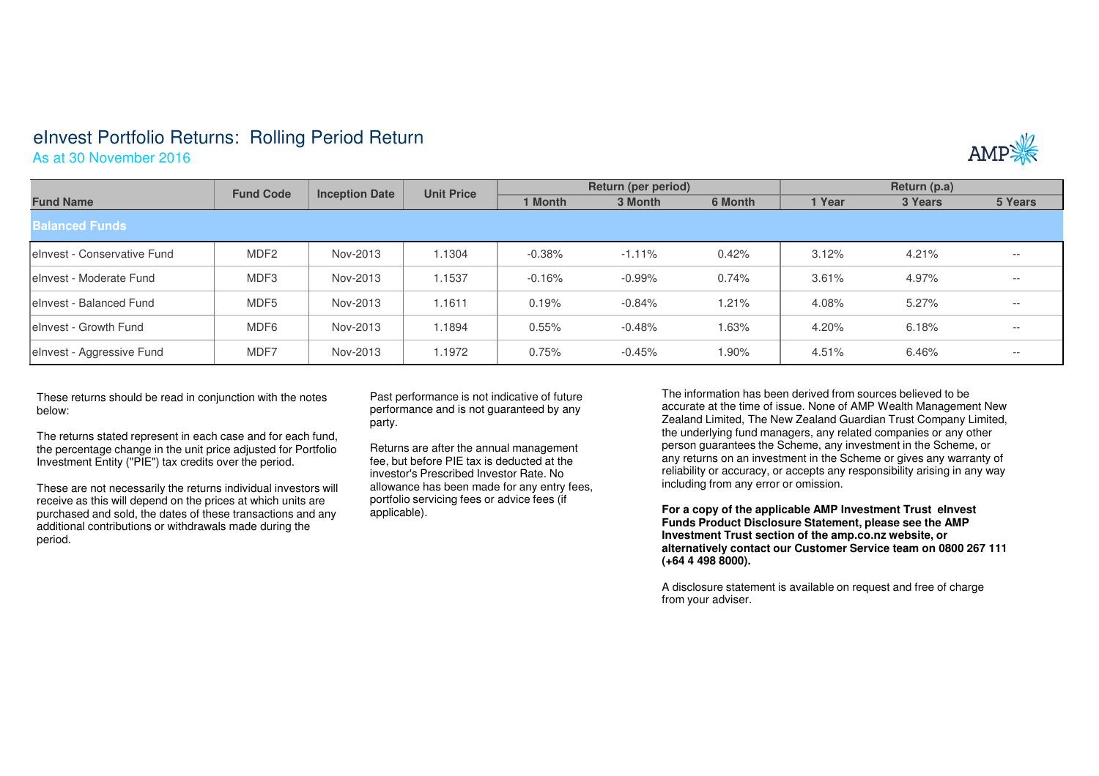## eInvest Portfolio Returns: Rolling Period Return

As at 30 November 2016



|                              | <b>Fund Code</b> | <b>Inception Date</b> | <b>Unit Price</b> | Return (per period) |           |         | Return (p.a) |         |         |  |  |  |
|------------------------------|------------------|-----------------------|-------------------|---------------------|-----------|---------|--------------|---------|---------|--|--|--|
| <b>Fund Name</b>             |                  |                       |                   | 1 Month             | 3 Month   | 6 Month | 1 Year       | 3 Years | 5 Years |  |  |  |
| <b>Balanced Funds</b>        |                  |                       |                   |                     |           |         |              |         |         |  |  |  |
| lelnyest - Conservative Fund | MDF <sub>2</sub> | Nov-2013              | 1.1304            | $-0.38%$            | $-1.11%$  | 0.42%   | 3.12%        | 4.21%   | $- -$   |  |  |  |
| lelnyest - Moderate Fund     | MDF3             | Nov-2013              | 1.1537            | $-0.16%$            | $-0.99\%$ | 0.74%   | 3.61%        | 4.97%   | $- -$   |  |  |  |
| lelnyest - Balanced Fund     | MDF <sub>5</sub> | Nov-2013              | 1.1611            | 0.19%               | $-0.84%$  | 1.21%   | 4.08%        | 5.27%   | $- -$   |  |  |  |
| lelnyest - Growth Fund       | MDF <sub>6</sub> | Nov-2013              | 1.1894            | 0.55%               | $-0.48\%$ | 1.63%   | 4.20%        | 6.18%   | $- -$   |  |  |  |
| elnvest - Aggressive Fund    | MDF7             | Nov-2013              | 1.1972            | 0.75%               | $-0.45%$  | 1.90%   | 4.51%        | 6.46%   | $- -$   |  |  |  |

These returns should be read in conjunction with the notes below:

The returns stated represent in each case and for each fund, the percentage change in the unit price adjusted for Portfolio Investment Entity ("PIE") tax credits over the period.

These are not necessarily the returns individual investors will receive as this will depend on the prices at which units are purchased and sold, the dates of these transactions and anyadditional contributions or withdrawals made during the period.

Past performance is not indicative of future performance and is not guaranteed by any party.

Returns are after the annual management fee, but before PIE tax is deducted at the investor's Prescribed Investor Rate. No allowance has been made for any entry fees, portfolio servicing fees or advice fees (if applicable).

The information has been derived from sources believed to be accurate at the time of issue. None of AMP Wealth Management New Zealand Limited, The New Zealand Guardian Trust Company Limited, the underlying fund managers, any related companies or any other person guarantees the Scheme, any investment in the Scheme, or any returns on an investment in the Scheme or gives any warranty of reliability or accuracy, or accepts any responsibility arising in any way including from any error or omission.

**For a copy of the applicable AMP Investment Trust eInvest Funds Product Disclosure Statement, please see the AMP Investment Trust section of the amp.co.nz website, or alternatively contact our Customer Service team on 0800 267 111 (+64 4 498 8000).**

A disclosure statement is available on request and free of charge from your adviser.